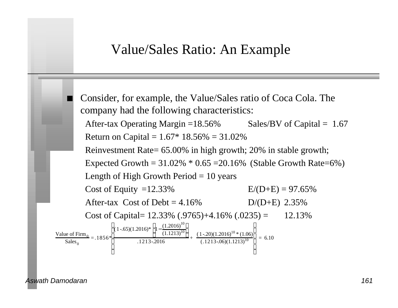#### Value/Sales Ratio: An Example



*Aswath Damodaran 161*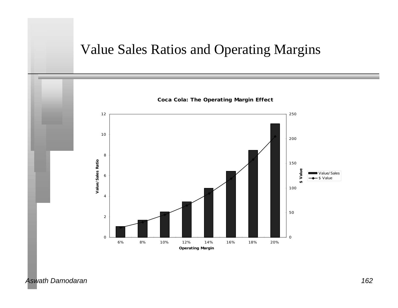# Value Sales Ratios and Operating Margins

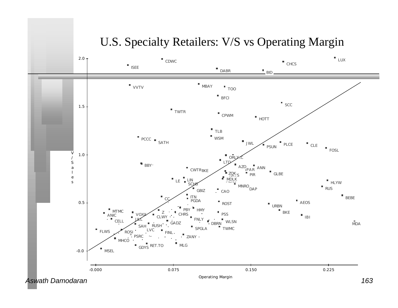#### U.S. Specialty Retailers: V/S vs Operating Margin

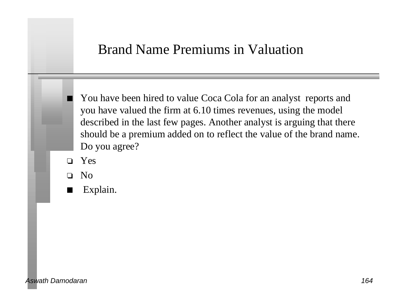### Brand Name Premiums in Valuation

You have been hired to value Coca Cola for an analyst reports and you have valued the firm at 6.10 times revenues, using the model described in the last few pages. Another analyst is arguing that there should be a premium added on to reflect the value of the brand name. Do you agree?

o Yes

o No

Explain.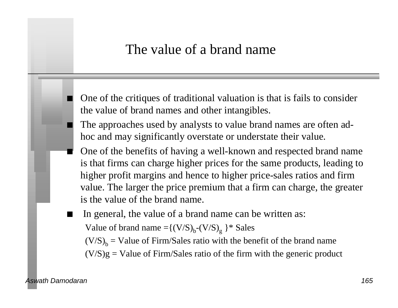## The value of a brand name

- One of the critiques of traditional valuation is that is fails to consider the value of brand names and other intangibles.
- The approaches used by analysts to value brand names are often adhoc and may significantly overstate or understate their value.
- One of the benefits of having a well-known and respected brand name is that firms can charge higher prices for the same products, leading to higher profit margins and hence to higher price-sales ratios and firm value. The larger the price premium that a firm can charge, the greater is the value of the brand name.
- In general, the value of a brand name can be written as: Value of brand name  $= {(V/S)_b-(V/S)_g}$   $*$  Sales  $(V/S)_{b}$  = Value of Firm/Sales ratio with the benefit of the brand name  $(V/S)g =$  Value of Firm/Sales ratio of the firm with the generic product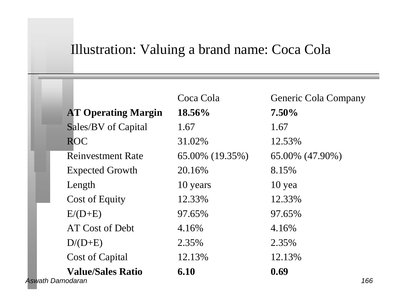# Illustration: Valuing a brand name: Coca Cola

|                         |                            | Coca Cola       | <b>Generic Cola Company</b> |
|-------------------------|----------------------------|-----------------|-----------------------------|
|                         | <b>AT Operating Margin</b> | 18.56%          | $7.50\%$                    |
|                         | Sales/BV of Capital        | 1.67            | 1.67                        |
|                         | <b>ROC</b>                 | 31.02%          | 12.53%                      |
|                         | <b>Reinvestment Rate</b>   | 65.00% (19.35%) | 65.00% (47.90%)             |
|                         | <b>Expected Growth</b>     | 20.16%          | 8.15%                       |
|                         | Length                     | 10 years        | $10$ yea                    |
|                         | <b>Cost of Equity</b>      | 12.33%          | 12.33%                      |
|                         | $E/(D+E)$                  | 97.65%          | 97.65%                      |
|                         | AT Cost of Debt            | 4.16%           | 4.16%                       |
|                         | $D/(D+E)$                  | 2.35%           | 2.35%                       |
|                         | Cost of Capital            | 12.13%          | 12.13%                      |
|                         | <b>Value/Sales Ratio</b>   | 6.10            | 0.69                        |
| <b>Aswath Damodaran</b> |                            |                 | 166                         |